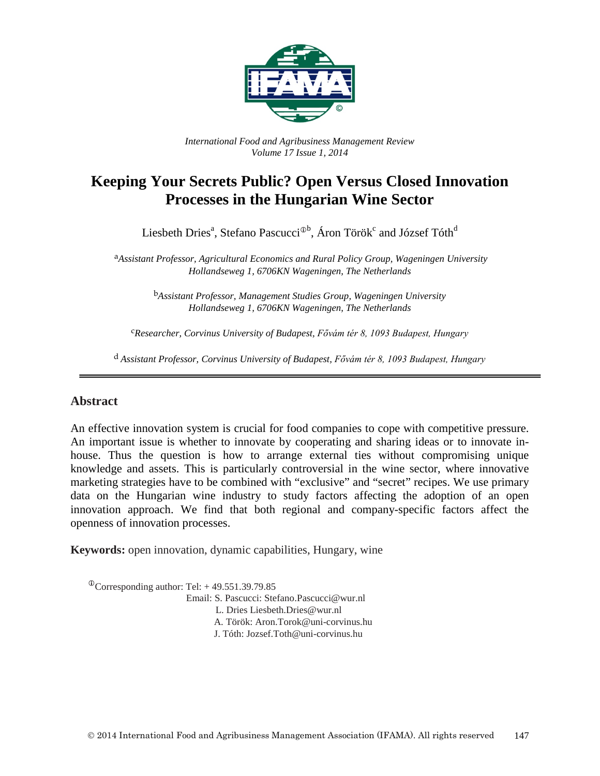

*International Food and Agribusiness Management Review Volume 17 Issue 1, 2014*

# **Keeping Your Secrets Public? Open Versus Closed Innovation Processes in the Hungarian Wine Sector**

Liesbeth Dries<sup>a</sup>, Stefano Pascucci<sup>®b</sup>, Áron Török $^{\rm c}$  and József Tóth $^{\rm d}$ 

a*Assistant Professor, Agricultural Economics and Rural Policy Group, Wageningen University Hollandseweg 1, 6706KN Wageningen, The Netherlands*

> b*Assistant Professor, Management Studies Group, Wageningen University Hollandseweg 1, 6706KN Wageningen, The Netherlands*

c*Researcher, Corvinus University of Budapest, Fővám tér 8, 1093 Budapest, Hungary*

d *Assistant Professor, Corvinus University of Budapest, Fővám tér 8, 1093 Budapest, Hungary*

#### **Abstract**

An effective innovation system is crucial for food companies to cope with competitive pressure. An important issue is whether to innovate by cooperating and sharing ideas or to innovate inhouse. Thus the question is how to arrange external ties without compromising unique knowledge and assets. This is particularly controversial in the wine sector, where innovative marketing strategies have to be combined with "exclusive" and "secret" recipes. We use primary data on the Hungarian wine industry to study factors affecting the adoption of an open innovation approach. We find that both regional and company-specific factors affect the openness of innovation processes.

**Keywords:** open innovation, dynamic capabilities, Hungary, wine

 $^{\circ}$ Corresponding author: Tel: +49.551.39.79.85 Email: S. Pascucci: Stefano.Pascucci@wur.nl L. Dries Liesbeth.Dries@wur.nl A. Török: Aron.Torok@uni-corvinus.hu J. Tóth: Jozsef.Toth@uni-corvinus.hu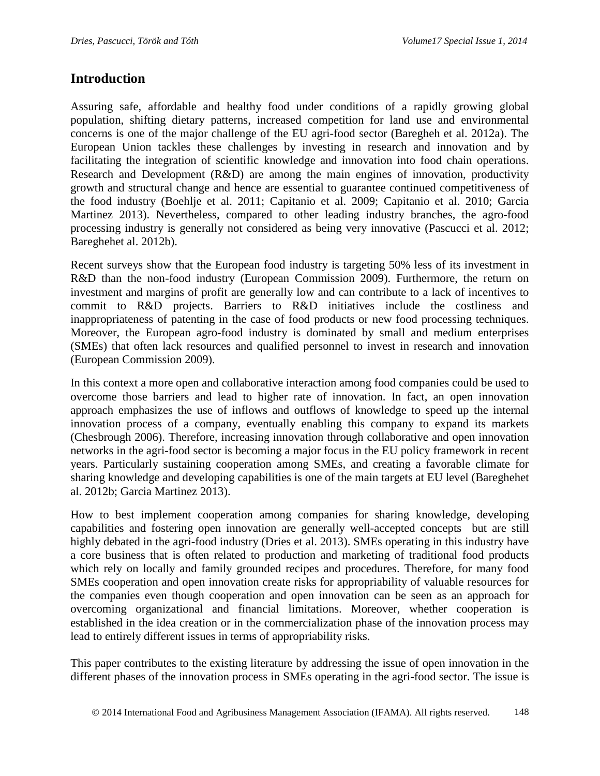## **Introduction**

Assuring safe, affordable and healthy food under conditions of a rapidly growing global population, shifting dietary patterns, increased competition for land use and environmental concerns is one of the major challenge of the EU agri-food sector (Baregheh et al. 2012a). The European Union tackles these challenges by investing in research and innovation and by facilitating the integration of scientific knowledge and innovation into food chain operations. Research and Development (R&D) are among the main engines of innovation, productivity growth and structural change and hence are essential to guarantee continued competitiveness of the food industry (Boehlje et al. 2011; Capitanio et al. 2009; Capitanio et al. 2010; Garcia Martinez 2013). Nevertheless, compared to other leading industry branches, the agro-food processing industry is generally not considered as being very innovative (Pascucci et al. 2012; Bareghehet al. 2012b).

Recent surveys show that the European food industry is targeting 50% less of its investment in R&D than the non-food industry (European Commission 2009). Furthermore, the return on investment and margins of profit are generally low and can contribute to a lack of incentives to commit to R&D projects. Barriers to R&D initiatives include the costliness and inappropriateness of patenting in the case of food products or new food processing techniques. Moreover, the European agro-food industry is dominated by small and medium enterprises (SMEs) that often lack resources and qualified personnel to invest in research and innovation (European Commission 2009).

In this context a more open and collaborative interaction among food companies could be used to overcome those barriers and lead to higher rate of innovation. In fact, an open innovation approach emphasizes the use of inflows and outflows of knowledge to speed up the internal innovation process of a company, eventually enabling this company to expand its markets (Chesbrough 2006). Therefore, increasing innovation through collaborative and open innovation networks in the agri-food sector is becoming a major focus in the EU policy framework in recent years. Particularly sustaining cooperation among SMEs, and creating a favorable climate for sharing knowledge and developing capabilities is one of the main targets at EU level (Bareghehet al. 2012b; Garcia Martinez 2013).

How to best implement cooperation among companies for sharing knowledge, developing capabilities and fostering open innovation are generally well-accepted concepts but are still highly debated in the agri-food industry (Dries et al. 2013). SMEs operating in this industry have a core business that is often related to production and marketing of traditional food products which rely on locally and family grounded recipes and procedures. Therefore, for many food SMEs cooperation and open innovation create risks for appropriability of valuable resources for the companies even though cooperation and open innovation can be seen as an approach for overcoming organizational and financial limitations. Moreover, whether cooperation is established in the idea creation or in the commercialization phase of the innovation process may lead to entirely different issues in terms of appropriability risks.

This paper contributes to the existing literature by addressing the issue of open innovation in the different phases of the innovation process in SMEs operating in the agri-food sector. The issue is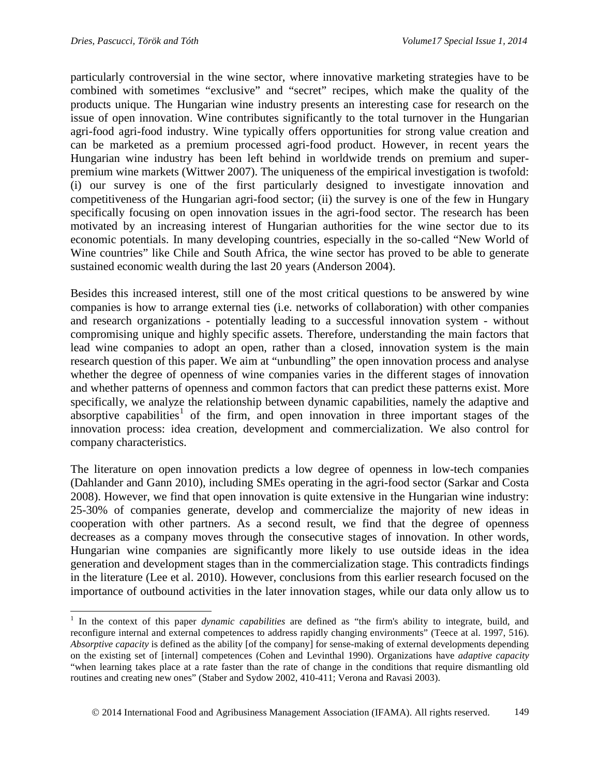particularly controversial in the wine sector, where innovative marketing strategies have to be combined with sometimes "exclusive" and "secret" recipes, which make the quality of the products unique. The Hungarian wine industry presents an interesting case for research on the issue of open innovation. Wine contributes significantly to the total turnover in the Hungarian agri-food agri-food industry. Wine typically offers opportunities for strong value creation and can be marketed as a premium processed agri-food product. However, in recent years the Hungarian wine industry has been left behind in worldwide trends on premium and superpremium wine markets (Wittwer 2007). The uniqueness of the empirical investigation is twofold: (i) our survey is one of the first particularly designed to investigate innovation and competitiveness of the Hungarian agri-food sector; (ii) the survey is one of the few in Hungary specifically focusing on open innovation issues in the agri-food sector. The research has been motivated by an increasing interest of Hungarian authorities for the wine sector due to its economic potentials. In many developing countries, especially in the so-called "New World of Wine countries" like Chile and South Africa, the wine sector has proved to be able to generate sustained economic wealth during the last 20 years (Anderson 2004).

Besides this increased interest, still one of the most critical questions to be answered by wine companies is how to arrange external ties (i.e. networks of collaboration) with other companies and research organizations - potentially leading to a successful innovation system - without compromising unique and highly specific assets. Therefore, understanding the main factors that lead wine companies to adopt an open, rather than a closed, innovation system is the main research question of this paper. We aim at "unbundling" the open innovation process and analyse whether the degree of openness of wine companies varies in the different stages of innovation and whether patterns of openness and common factors that can predict these patterns exist. More specifically, we analyze the relationship between dynamic capabilities, namely the adaptive and absorptive capabilities<sup>[1](#page-2-0)</sup> of the firm, and open innovation in three important stages of the innovation process: idea creation, development and commercialization. We also control for company characteristics.

The literature on open innovation predicts a low degree of openness in low-tech companies (Dahlander and Gann 2010), including SMEs operating in the agri-food sector (Sarkar and Costa 2008). However, we find that open innovation is quite extensive in the Hungarian wine industry: 25-30% of companies generate, develop and commercialize the majority of new ideas in cooperation with other partners. As a second result, we find that the degree of openness decreases as a company moves through the consecutive stages of innovation. In other words, Hungarian wine companies are significantly more likely to use outside ideas in the idea generation and development stages than in the commercialization stage. This contradicts findings in the literature (Lee et al. 2010). However, conclusions from this earlier research focused on the importance of outbound activities in the later innovation stages, while our data only allow us to

<span id="page-2-0"></span><sup>&</sup>lt;sup>1</sup> In the context of this paper *dynamic capabilities* are defined as "the firm's ability to integrate, build, and reconfigure internal and external competences to address rapidly changing environments" (Teece at al. 1997, 516). *Absorptive capacity* is defined as the ability [of the company] for sense-making of external developments depending on the existing set of [internal] competences (Cohen and Levinthal 1990). Organizations have *adaptive capacity* "when learning takes place at a rate faster than the rate of change in the conditions that require dismantling old routines and creating new ones" (Staber and Sydow 2002, 410-411; Verona and Ravasi 2003).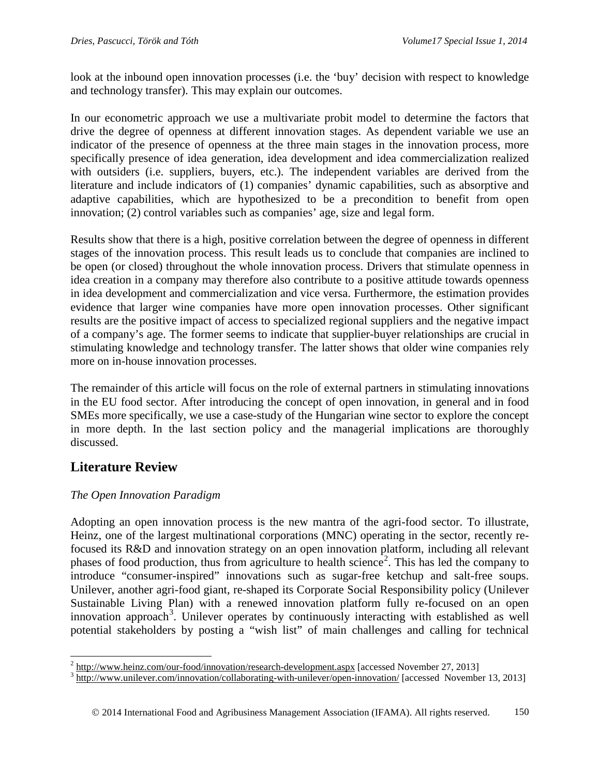look at the inbound open innovation processes (i.e. the 'buy' decision with respect to knowledge and technology transfer). This may explain our outcomes.

In our econometric approach we use a multivariate probit model to determine the factors that drive the degree of openness at different innovation stages. As dependent variable we use an indicator of the presence of openness at the three main stages in the innovation process, more specifically presence of idea generation, idea development and idea commercialization realized with outsiders (i.e. suppliers, buyers, etc.). The independent variables are derived from the literature and include indicators of (1) companies' dynamic capabilities, such as absorptive and adaptive capabilities, which are hypothesized to be a precondition to benefit from open innovation; (2) control variables such as companies' age, size and legal form.

Results show that there is a high, positive correlation between the degree of openness in different stages of the innovation process. This result leads us to conclude that companies are inclined to be open (or closed) throughout the whole innovation process. Drivers that stimulate openness in idea creation in a company may therefore also contribute to a positive attitude towards openness in idea development and commercialization and vice versa. Furthermore, the estimation provides evidence that larger wine companies have more open innovation processes. Other significant results are the positive impact of access to specialized regional suppliers and the negative impact of a company's age. The former seems to indicate that supplier-buyer relationships are crucial in stimulating knowledge and technology transfer. The latter shows that older wine companies rely more on in-house innovation processes.

The remainder of this article will focus on the role of external partners in stimulating innovations in the EU food sector. After introducing the concept of open innovation, in general and in food SMEs more specifically, we use a case-study of the Hungarian wine sector to explore the concept in more depth. In the last section policy and the managerial implications are thoroughly discussed.

# **Literature Review**

## *The Open Innovation Paradigm*

Adopting an open innovation process is the new mantra of the agri-food sector. To illustrate, Heinz, one of the largest multinational corporations (MNC) operating in the sector, recently refocused its R&D and innovation strategy on an open innovation platform, including all relevant phases of food production, thus from agriculture to health science<sup>[2](#page-3-0)</sup>. This has led the company to introduce "consumer-inspired" innovations such as sugar-free ketchup and salt-free soups. Unilever, another agri-food giant, re-shaped its Corporate Social Responsibility policy (Unilever Sustainable Living Plan) with a renewed innovation platform fully re-focused on an open innovation approach<sup>[3](#page-3-1)</sup>. Unilever operates by continuously interacting with established as well potential stakeholders by posting a "wish list" of main challenges and calling for technical

<span id="page-3-1"></span><span id="page-3-0"></span> $\frac{2 \text{ http://www.heinz.com/our-food/innovation/research-development.aspx}$  $\frac{2 \text{ http://www.heinz.com/our-food/innovation/research-development.aspx}$  $\frac{2 \text{ http://www.heinz.com/our-food/innovation/research-development.aspx}$  [accessed November 27, 2013]<br> $\frac{3 \text{ http://www.unilever.com/innovation/collaborating-with-unilever/open-innovation/}$  $\frac{3 \text{ http://www.unilever.com/innovation/collaborating-with-unilever/open-innovation/}$  $\frac{3 \text{ http://www.unilever.com/innovation/collaborating-with-unilever/open-innovation/}$  [accessed November 13, 2013]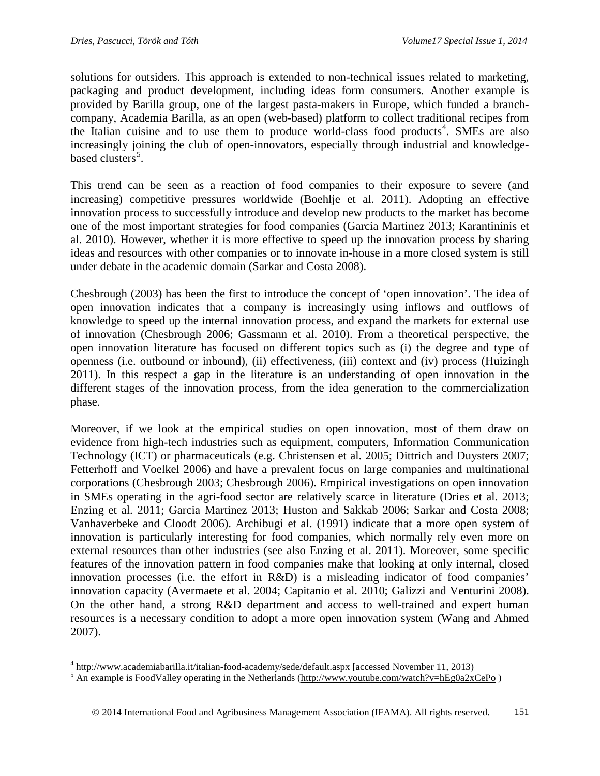solutions for outsiders. This approach is extended to non-technical issues related to marketing, packaging and product development, including ideas form consumers. Another example is provided by Barilla group, one of the largest pasta-makers in Europe, which funded a branchcompany, Academia Barilla, as an open (web-based) platform to collect traditional recipes from the Italian cuisine and to use them to produce world-class food products<sup>[4](#page-4-0)</sup>. SMEs are also increasingly joining the club of open-innovators, especially through industrial and knowledge-based clusters<sup>[5](#page-4-1)</sup>.

This trend can be seen as a reaction of food companies to their exposure to severe (and increasing) competitive pressures worldwide (Boehlje et al. 2011). Adopting an effective innovation process to successfully introduce and develop new products to the market has become one of the most important strategies for food companies (Garcia Martinez 2013; Karantininis et al. 2010). However, whether it is more effective to speed up the innovation process by sharing ideas and resources with other companies or to innovate in-house in a more closed system is still under debate in the academic domain (Sarkar and Costa 2008).

Chesbrough (2003) has been the first to introduce the concept of 'open innovation'. The idea of open innovation indicates that a company is increasingly using inflows and outflows of knowledge to speed up the internal innovation process, and expand the markets for external use of innovation (Chesbrough 2006; Gassmann et al. 2010). From a theoretical perspective, the open innovation literature has focused on different topics such as (i) the degree and type of openness (i.e. outbound or inbound), (ii) effectiveness, (iii) context and (iv) process (Huizingh 2011). In this respect a gap in the literature is an understanding of open innovation in the different stages of the innovation process, from the idea generation to the commercialization phase.

Moreover, if we look at the empirical studies on open innovation, most of them draw on evidence from high-tech industries such as equipment, computers, Information Communication Technology (ICT) or pharmaceuticals (e.g. Christensen et al. 2005; Dittrich and Duysters 2007; Fetterhoff and Voelkel 2006) and have a prevalent focus on large companies and multinational corporations (Chesbrough 2003; Chesbrough 2006). Empirical investigations on open innovation in SMEs operating in the agri-food sector are relatively scarce in literature (Dries et al. 2013; Enzing et al. 2011; Garcia Martinez 2013; Huston and Sakkab 2006; Sarkar and Costa 2008; Vanhaverbeke and Cloodt 2006). Archibugi et al. (1991) indicate that a more open system of innovation is particularly interesting for food companies, which normally rely even more on external resources than other industries (see also Enzing et al. 2011). Moreover, some specific features of the innovation pattern in food companies make that looking at only internal, closed innovation processes (i.e. the effort in R&D) is a misleading indicator of food companies' innovation capacity (Avermaete et al. 2004; Capitanio et al. 2010; Galizzi and Venturini 2008). On the other hand, a strong R&D department and access to well-trained and expert human resources is a necessary condition to adopt a more open innovation system (Wang and Ahmed 2007).

<span id="page-4-1"></span><span id="page-4-0"></span> $\frac{4}{5}$  <http://www.academiabarilla.it/italian-food-academy/sede/default.aspx> [accessed November 11, 2013)  $\frac{5}{2}$  An example is FoodValley operating in the Netherlands [\(http://www.youtube.com/watch?v=hEg0a2xCePo](http://www.youtube.com/watch?v=hEg0a2xCePo) )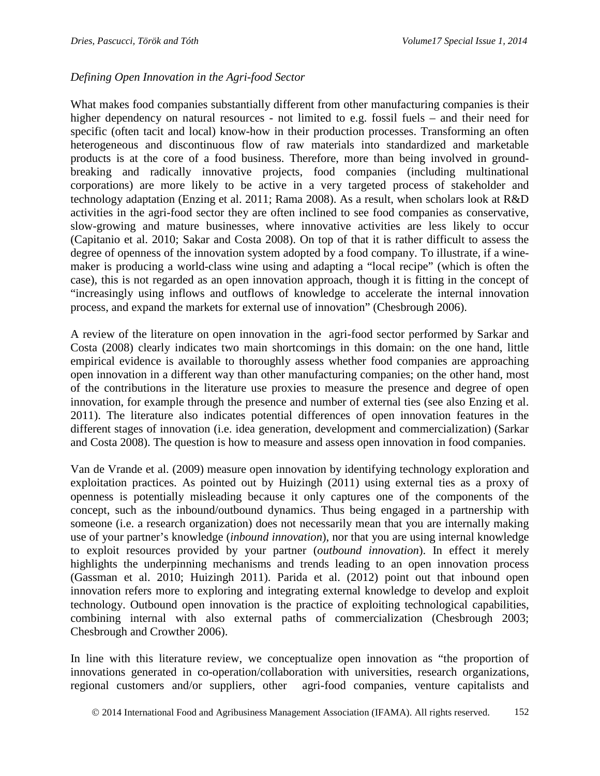#### *Defining Open Innovation in the Agri-food Sector*

What makes food companies substantially different from other manufacturing companies is their higher dependency on natural resources - not limited to e.g. fossil fuels – and their need for specific (often tacit and local) know-how in their production processes. Transforming an often heterogeneous and discontinuous flow of raw materials into standardized and marketable products is at the core of a food business. Therefore, more than being involved in groundbreaking and radically innovative projects, food companies (including multinational corporations) are more likely to be active in a very targeted process of stakeholder and technology adaptation (Enzing et al. 2011; Rama 2008). As a result, when scholars look at R&D activities in the agri-food sector they are often inclined to see food companies as conservative, slow-growing and mature businesses, where innovative activities are less likely to occur (Capitanio et al. 2010; Sakar and Costa 2008). On top of that it is rather difficult to assess the degree of openness of the innovation system adopted by a food company. To illustrate, if a winemaker is producing a world-class wine using and adapting a "local recipe" (which is often the case), this is not regarded as an open innovation approach, though it is fitting in the concept of "increasingly using inflows and outflows of knowledge to accelerate the internal innovation process, and expand the markets for external use of innovation" (Chesbrough 2006).

A review of the literature on open innovation in the agri-food sector performed by Sarkar and Costa (2008) clearly indicates two main shortcomings in this domain: on the one hand, little empirical evidence is available to thoroughly assess whether food companies are approaching open innovation in a different way than other manufacturing companies; on the other hand, most of the contributions in the literature use proxies to measure the presence and degree of open innovation, for example through the presence and number of external ties (see also Enzing et al. 2011). The literature also indicates potential differences of open innovation features in the different stages of innovation (i.e. idea generation, development and commercialization) (Sarkar and Costa 2008). The question is how to measure and assess open innovation in food companies.

Van de Vrande et al. (2009) measure open innovation by identifying technology exploration and exploitation practices. As pointed out by Huizingh (2011) using external ties as a proxy of openness is potentially misleading because it only captures one of the components of the concept, such as the inbound/outbound dynamics. Thus being engaged in a partnership with someone (i.e. a research organization) does not necessarily mean that you are internally making use of your partner's knowledge (*inbound innovation*), nor that you are using internal knowledge to exploit resources provided by your partner (*outbound innovation*). In effect it merely highlights the underpinning mechanisms and trends leading to an open innovation process (Gassman et al. 2010; Huizingh 2011). Parida et al. (2012) point out that inbound open innovation refers more to exploring and integrating external knowledge to develop and exploit technology. Outbound open innovation is the practice of exploiting technological capabilities, combining internal with also external paths of commercialization (Chesbrough 2003; Chesbrough and Crowther 2006).

In line with this literature review, we conceptualize open innovation as "the proportion of innovations generated in co-operation/collaboration with universities, research organizations, regional customers and/or suppliers, other agri-food companies, venture capitalists and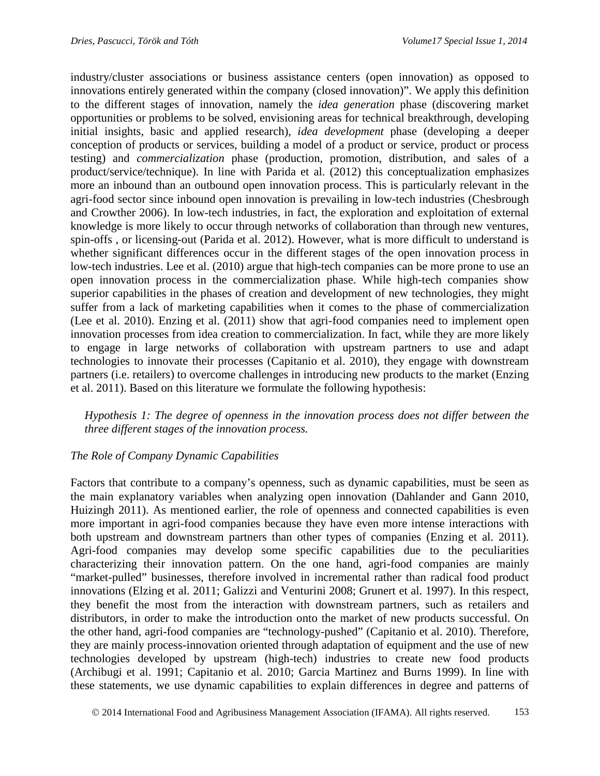industry/cluster associations or business assistance centers (open innovation) as opposed to innovations entirely generated within the company (closed innovation)". We apply this definition to the different stages of innovation, namely the *idea generation* phase (discovering market opportunities or problems to be solved, envisioning areas for technical breakthrough, developing initial insights, basic and applied research), *idea development* phase (developing a deeper conception of products or services, building a model of a product or service, product or process testing) and *commercialization* phase (production, promotion, distribution, and sales of a product/service/technique). In line with Parida et al. (2012) this conceptualization emphasizes more an inbound than an outbound open innovation process. This is particularly relevant in the agri-food sector since inbound open innovation is prevailing in low-tech industries (Chesbrough and Crowther 2006). In low-tech industries, in fact, the exploration and exploitation of external knowledge is more likely to occur through networks of collaboration than through new ventures, spin-offs , or licensing-out (Parida et al. 2012). However, what is more difficult to understand is whether significant differences occur in the different stages of the open innovation process in low-tech industries. Lee et al. (2010) argue that high-tech companies can be more prone to use an open innovation process in the commercialization phase. While high-tech companies show superior capabilities in the phases of creation and development of new technologies, they might suffer from a lack of marketing capabilities when it comes to the phase of commercialization (Lee et al. 2010). Enzing et al. (2011) show that agri-food companies need to implement open innovation processes from idea creation to commercialization. In fact, while they are more likely to engage in large networks of collaboration with upstream partners to use and adapt technologies to innovate their processes (Capitanio et al. 2010), they engage with downstream partners (i.e. retailers) to overcome challenges in introducing new products to the market (Enzing et al. 2011). Based on this literature we formulate the following hypothesis:

*Hypothesis 1: The degree of openness in the innovation process does not differ between the three different stages of the innovation process.*

#### *The Role of Company Dynamic Capabilities*

Factors that contribute to a company's openness, such as dynamic capabilities, must be seen as the main explanatory variables when analyzing open innovation (Dahlander and Gann 2010, Huizingh 2011). As mentioned earlier, the role of openness and connected capabilities is even more important in agri-food companies because they have even more intense interactions with both upstream and downstream partners than other types of companies (Enzing et al. 2011). Agri-food companies may develop some specific capabilities due to the peculiarities characterizing their innovation pattern. On the one hand, agri-food companies are mainly "market-pulled" businesses, therefore involved in incremental rather than radical food product innovations (Elzing et al. 2011; Galizzi and Venturini 2008; Grunert et al. 1997). In this respect, they benefit the most from the interaction with downstream partners, such as retailers and distributors, in order to make the introduction onto the market of new products successful. On the other hand, agri-food companies are "technology-pushed" (Capitanio et al. 2010). Therefore, they are mainly process-innovation oriented through adaptation of equipment and the use of new technologies developed by upstream (high-tech) industries to create new food products (Archibugi et al. 1991; Capitanio et al. 2010; Garcia Martinez and Burns 1999). In line with these statements, we use dynamic capabilities to explain differences in degree and patterns of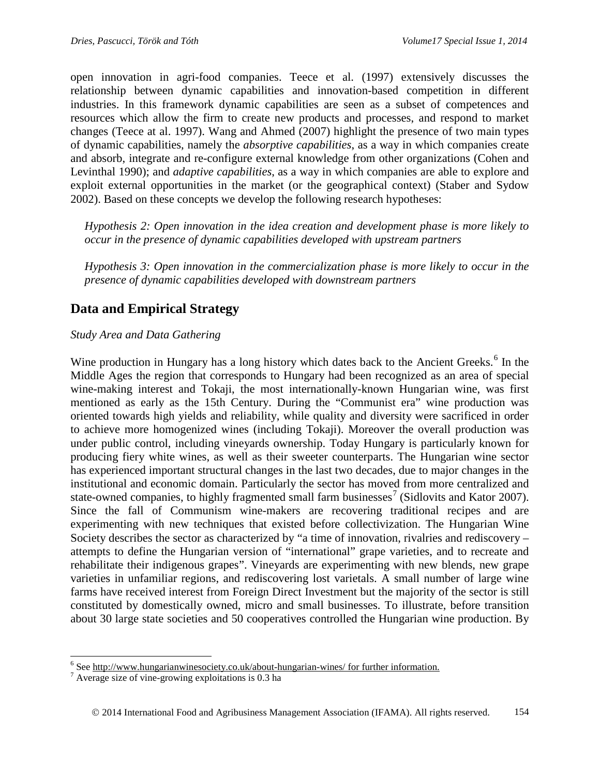open innovation in agri-food companies. Teece et al. (1997) extensively discusses the relationship between dynamic capabilities and innovation-based competition in different industries. In this framework dynamic capabilities are seen as a subset of competences and resources which allow the firm to create new products and processes, and respond to market changes (Teece at al. 1997). Wang and Ahmed (2007) highlight the presence of two main types of dynamic capabilities, namely the *absorptive capabilities*, as a way in which companies create and absorb, integrate and re-configure external knowledge from other organizations (Cohen and Levinthal 1990); and *adaptive capabilities*, as a way in which companies are able to explore and exploit external opportunities in the market (or the geographical context) (Staber and Sydow 2002). Based on these concepts we develop the following research hypotheses:

*Hypothesis 2: Open innovation in the idea creation and development phase is more likely to occur in the presence of dynamic capabilities developed with upstream partners*

*Hypothesis 3: Open innovation in the commercialization phase is more likely to occur in the presence of dynamic capabilities developed with downstream partners*

# **Data and Empirical Strategy**

#### *Study Area and Data Gathering*

Wine production in Hungary has a long history which dates back to the Ancient Greeks.<sup>[6](#page-7-0)</sup> In the Middle Ages the region that corresponds to Hungary had been recognized as an area of special wine-making interest and Tokaji, the most internationally-known Hungarian wine, was first mentioned as early as the 15th Century. During the "Communist era" wine production was oriented towards high yields and reliability, while quality and diversity were sacrificed in order to achieve more homogenized wines (including Tokaji). Moreover the overall production was under public control, including vineyards ownership. Today Hungary is particularly known for producing fiery white wines, as well as their sweeter counterparts. The Hungarian wine sector has experienced important structural changes in the last two decades, due to major changes in the institutional and economic domain. Particularly the sector has moved from more centralized and state-owned companies, to highly fragmented small farm businesses<sup>[7](#page-7-1)</sup> (Sidlovits and Kator 2007). Since the fall of Communism wine-makers are recovering traditional recipes and are experimenting with new techniques that existed before collectivization. The Hungarian Wine Society describes the sector as characterized by "a time of innovation, rivalries and rediscovery – attempts to define the Hungarian version of "international" grape varieties, and to recreate and rehabilitate their indigenous grapes". Vineyards are experimenting with new blends, new grape varieties in unfamiliar regions, and rediscovering lost varietals. A small number of large wine farms have received interest from Foreign Direct Investment but the majority of the sector is still constituted by domestically owned, micro and small businesses. To illustrate, before transition about 30 large state societies and 50 cooperatives controlled the Hungarian wine production. By

<span id="page-7-1"></span><span id="page-7-0"></span><sup>&</sup>lt;sup>6</sup> See <u>http://www.hungarianwinesociety.co.uk/about-hungarian-wines/ for further information.<sup>7</sup> Average size of vine-growing exploitations is 0.3 ha</u>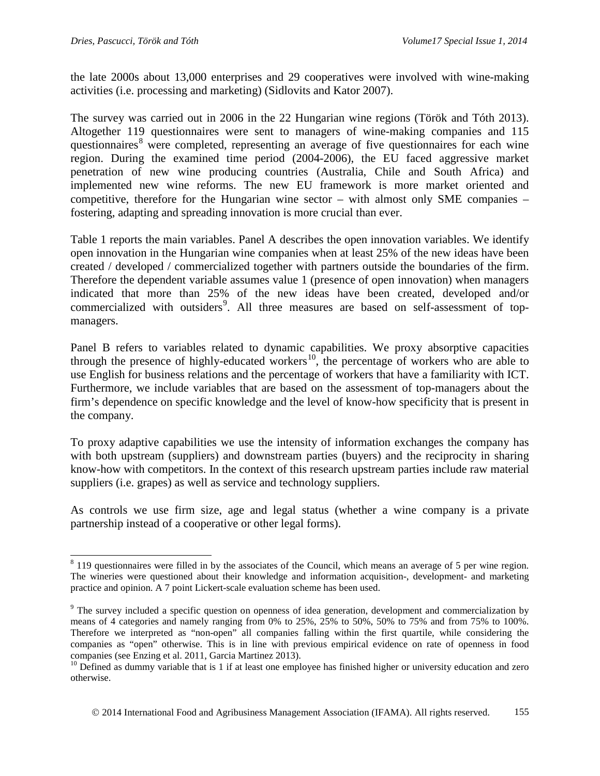the late 2000s about 13,000 enterprises and 29 cooperatives were involved with wine-making activities (i.e. processing and marketing) (Sidlovits and Kator 2007).

The survey was carried out in 2006 in the 22 Hungarian wine regions (Török and Tóth 2013). Altogether 119 questionnaires were sent to managers of wine-making companies and 115 questionnaires<sup>[8](#page-8-0)</sup> were completed, representing an average of five questionnaires for each wine region. During the examined time period (2004-2006), the EU faced aggressive market penetration of new wine producing countries (Australia, Chile and South Africa) and implemented new wine reforms. The new EU framework is more market oriented and competitive, therefore for the Hungarian wine sector – with almost only SME companies – fostering, adapting and spreading innovation is more crucial than ever.

Table 1 reports the main variables. Panel A describes the open innovation variables. We identify open innovation in the Hungarian wine companies when at least 25% of the new ideas have been created / developed / commercialized together with partners outside the boundaries of the firm. Therefore the dependent variable assumes value 1 (presence of open innovation) when managers indicated that more than 25% of the new ideas have been created, developed and/or commercialized with outsiders<sup>[9](#page-8-1)</sup>. All three measures are based on self-assessment of topmanagers.

Panel B refers to variables related to dynamic capabilities. We proxy absorptive capacities through the presence of highly-educated workers<sup>[10](#page-8-2)</sup>, the percentage of workers who are able to use English for business relations and the percentage of workers that have a familiarity with ICT. Furthermore, we include variables that are based on the assessment of top-managers about the firm's dependence on specific knowledge and the level of know-how specificity that is present in the company.

To proxy adaptive capabilities we use the intensity of information exchanges the company has with both upstream (suppliers) and downstream parties (buyers) and the reciprocity in sharing know-how with competitors. In the context of this research upstream parties include raw material suppliers (i.e. grapes) as well as service and technology suppliers.

As controls we use firm size, age and legal status (whether a wine company is a private partnership instead of a cooperative or other legal forms).

<span id="page-8-0"></span><sup>&</sup>lt;sup>8</sup> 119 questionnaires were filled in by the associates of the Council, which means an average of 5 per wine region. The wineries were questioned about their knowledge and information acquisition-, development- and marketing practice and opinion. A 7 point Lickert-scale evaluation scheme has been used.

<span id="page-8-1"></span><sup>&</sup>lt;sup>9</sup> The survey included a specific question on openness of idea generation, development and commercialization by means of 4 categories and namely ranging from 0% to 25%, 25% to 50%, 50% to 75% and from 75% to 100%. Therefore we interpreted as "non-open" all companies falling within the first quartile, while considering the companies as "open" otherwise. This is in line with previous empirical evidence on rate of openness in food companies (see Enzing et al. 2011, Garcia Martinez 2013).

<span id="page-8-2"></span> $^{10}$  Defined as dummy variable that is 1 if at least one employee has finished higher or university education and zero otherwise.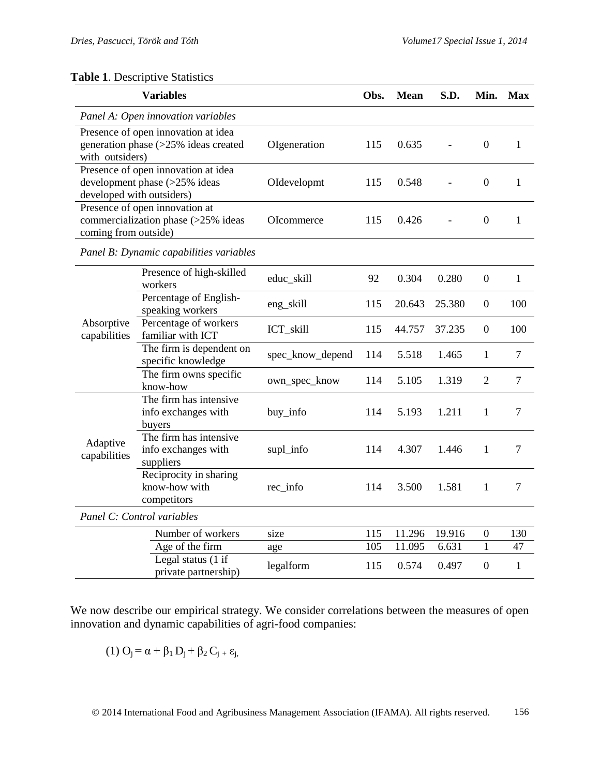### **Table 1**. Descriptive Statistics

| <b>Variables</b>                                                                                  |                                                            |                  | Obs. | <b>Mean</b> | S.D.   | Min. Max         |                |  |  |  |  |
|---------------------------------------------------------------------------------------------------|------------------------------------------------------------|------------------|------|-------------|--------|------------------|----------------|--|--|--|--|
| Panel A: Open innovation variables                                                                |                                                            |                  |      |             |        |                  |                |  |  |  |  |
| Presence of open innovation at idea<br>generation phase (>25% ideas created<br>with outsiders)    |                                                            | OIgeneration     | 115  | 0.635       |        | $\overline{0}$   | $\mathbf{1}$   |  |  |  |  |
| Presence of open innovation at idea<br>development phase (>25% ideas<br>developed with outsiders) |                                                            | OIdevelopmt      | 115  | 0.548       |        | $\mathbf{0}$     | $\mathbf{1}$   |  |  |  |  |
| Presence of open innovation at<br>commercialization phase (>25% ideas<br>coming from outside)     |                                                            | OIcommerce       | 115  | 0.426       |        | $\boldsymbol{0}$ | $\mathbf{1}$   |  |  |  |  |
| Panel B: Dynamic capabilities variables                                                           |                                                            |                  |      |             |        |                  |                |  |  |  |  |
| Absorptive<br>capabilities                                                                        | Presence of high-skilled<br>workers                        | educ_skill       | 92   | 0.304       | 0.280  | $\boldsymbol{0}$ | 1              |  |  |  |  |
|                                                                                                   | Percentage of English-<br>speaking workers                 | eng_skill        | 115  | 20.643      | 25.380 | $\boldsymbol{0}$ | 100            |  |  |  |  |
|                                                                                                   | Percentage of workers<br>familiar with ICT                 | ICT_skill        | 115  | 44.757      | 37.235 | $\Omega$         | 100            |  |  |  |  |
|                                                                                                   | The firm is dependent on<br>specific knowledge             | spec_know_depend | 114  | 5.518       | 1.465  | 1                | $\overline{7}$ |  |  |  |  |
|                                                                                                   | The firm owns specific<br>know-how                         | own_spec_know    | 114  | 5.105       | 1.319  | $\overline{2}$   | 7              |  |  |  |  |
| Adaptive<br>capabilities                                                                          | The firm has intensive<br>info exchanges with<br>buyers    | buy_info         | 114  | 5.193       | 1.211  | 1                | 7              |  |  |  |  |
|                                                                                                   | The firm has intensive<br>info exchanges with<br>suppliers | supl_info        | 114  | 4.307       | 1.446  | 1                | $\overline{7}$ |  |  |  |  |
|                                                                                                   | Reciprocity in sharing<br>know-how with<br>competitors     | $rec_info$       | 114  | 3.500       | 1.581  | 1                | 7              |  |  |  |  |
|                                                                                                   | Panel C: Control variables                                 |                  |      |             |        |                  |                |  |  |  |  |
|                                                                                                   | Number of workers                                          | size             | 115  | 11.296      | 19.916 | $\theta$         | 130            |  |  |  |  |
|                                                                                                   | Age of the firm                                            | age              | 105  | 11.095      | 6.631  | $\mathbf{1}$     | 47             |  |  |  |  |
|                                                                                                   | Legal status (1 if<br>private partnership)                 | legalform        | 115  | 0.574       | 0.497  | $\theta$         | $\mathbf{1}$   |  |  |  |  |

We now describe our empirical strategy. We consider correlations between the measures of open innovation and dynamic capabilities of agri-food companies:

$$
(1) O_j = \alpha + \beta_1 D_j + \beta_2 C_{j\; +} \epsilon_{j\text{,}}
$$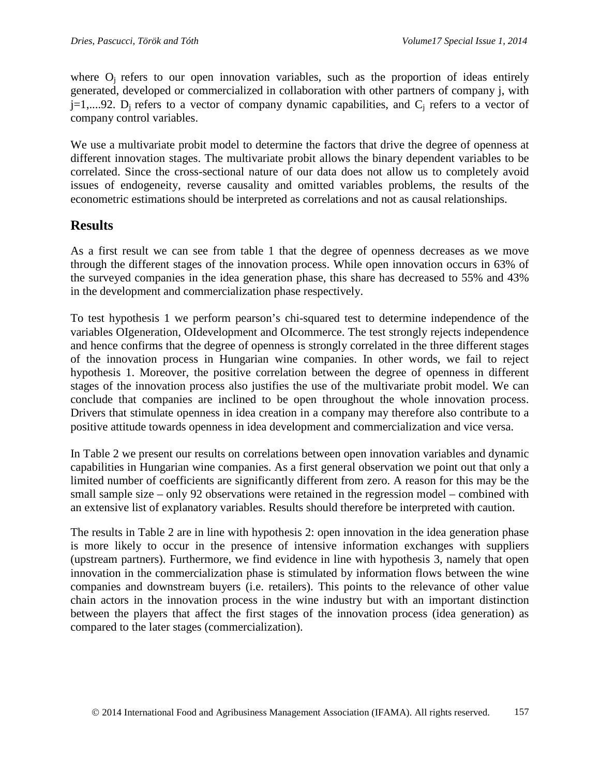where  $O_i$  refers to our open innovation variables, such as the proportion of ideas entirely generated, developed or commercialized in collaboration with other partners of company j, with  $j=1,...92$ .  $D_i$  refers to a vector of company dynamic capabilities, and  $C_i$  refers to a vector of company control variables.

We use a multivariate probit model to determine the factors that drive the degree of openness at different innovation stages. The multivariate probit allows the binary dependent variables to be correlated. Since the cross-sectional nature of our data does not allow us to completely avoid issues of endogeneity, reverse causality and omitted variables problems, the results of the econometric estimations should be interpreted as correlations and not as causal relationships.

## **Results**

As a first result we can see from table 1 that the degree of openness decreases as we move through the different stages of the innovation process. While open innovation occurs in 63% of the surveyed companies in the idea generation phase, this share has decreased to 55% and 43% in the development and commercialization phase respectively.

To test hypothesis 1 we perform pearson's chi-squared test to determine independence of the variables OIgeneration, OIdevelopment and OIcommerce. The test strongly rejects independence and hence confirms that the degree of openness is strongly correlated in the three different stages of the innovation process in Hungarian wine companies. In other words, we fail to reject hypothesis 1. Moreover, the positive correlation between the degree of openness in different stages of the innovation process also justifies the use of the multivariate probit model. We can conclude that companies are inclined to be open throughout the whole innovation process. Drivers that stimulate openness in idea creation in a company may therefore also contribute to a positive attitude towards openness in idea development and commercialization and vice versa.

In Table 2 we present our results on correlations between open innovation variables and dynamic capabilities in Hungarian wine companies. As a first general observation we point out that only a limited number of coefficients are significantly different from zero. A reason for this may be the small sample size – only 92 observations were retained in the regression model – combined with an extensive list of explanatory variables. Results should therefore be interpreted with caution.

The results in Table 2 are in line with hypothesis 2: open innovation in the idea generation phase is more likely to occur in the presence of intensive information exchanges with suppliers (upstream partners). Furthermore, we find evidence in line with hypothesis 3, namely that open innovation in the commercialization phase is stimulated by information flows between the wine companies and downstream buyers (i.e. retailers). This points to the relevance of other value chain actors in the innovation process in the wine industry but with an important distinction between the players that affect the first stages of the innovation process (idea generation) as compared to the later stages (commercialization).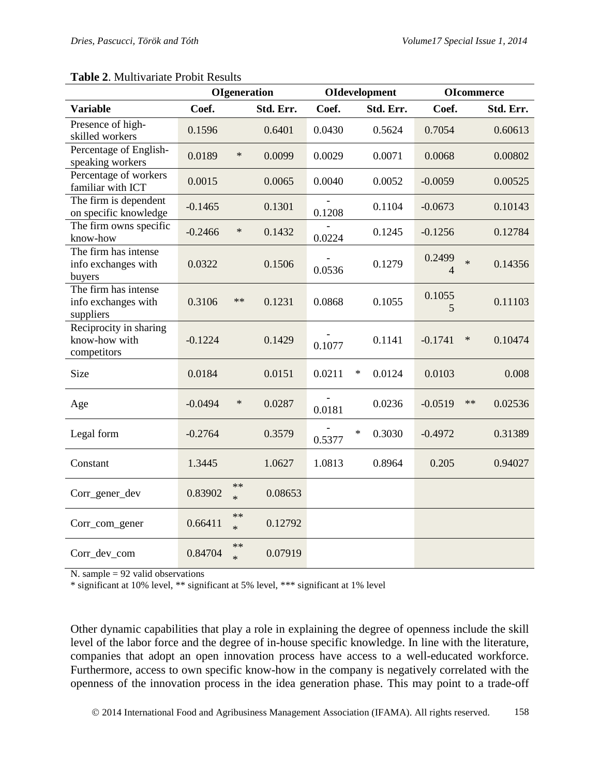|                                                          | <b>OIgeneration</b> |                      |           | <b>OIdevelopment</b> | <b>OI</b> commerce |             |                       |
|----------------------------------------------------------|---------------------|----------------------|-----------|----------------------|--------------------|-------------|-----------------------|
| <b>Variable</b>                                          | Coef.               |                      | Std. Err. | Coef.                | Std. Err.          | Coef.       | Std. Err.             |
| Presence of high-<br>skilled workers                     | 0.1596              |                      | 0.6401    | 0.0430               | 0.5624             | 0.7054      | 0.60613               |
| Percentage of English-<br>speaking workers               | 0.0189              | $\ast$               | 0.0099    | 0.0029               | 0.0071             | 0.0068      | 0.00802               |
| Percentage of workers<br>familiar with ICT               | 0.0015              |                      | 0.0065    | 0.0040               | 0.0052             | $-0.0059$   | 0.00525               |
| The firm is dependent<br>on specific knowledge           | $-0.1465$           |                      | 0.1301    | 0.1208               | 0.1104             | $-0.0673$   | 0.10143               |
| The firm owns specific<br>know-how                       | $-0.2466$           | $\ast$               | 0.1432    | 0.0224               | 0.1245             | $-0.1256$   | 0.12784               |
| The firm has intense<br>info exchanges with<br>buyers    | 0.0322              |                      | 0.1506    | 0.0536               | 0.1279             | 0.2499<br>4 | $\ast$<br>0.14356     |
| The firm has intense<br>info exchanges with<br>suppliers | 0.3106              | $\ast\ast$           | 0.1231    | 0.0868               | 0.1055             | 0.1055<br>5 | 0.11103               |
| Reciprocity in sharing<br>know-how with<br>competitors   | $-0.1224$           |                      | 0.1429    | 0.1077               | 0.1141             | $-0.1741$   | $\ast$<br>0.10474     |
| Size                                                     | 0.0184              |                      | 0.0151    | 0.0211               | $\ast$<br>0.0124   | 0.0103      | 0.008                 |
| Age                                                      | $-0.0494$           | $\ast$               | 0.0287    | 0.0181               | 0.0236             | $-0.0519$   | $\ast\ast$<br>0.02536 |
| Legal form                                               | $-0.2764$           |                      | 0.3579    | 0.5377               | $\ast$<br>0.3030   | $-0.4972$   | 0.31389               |
| Constant                                                 | 1.3445              |                      | 1.0627    | 1.0813               | 0.8964             | 0.205       | 0.94027               |
| Corr_gener_dev                                           | 0.83902             | $\ast\ast$<br>$\ast$ | 0.08653   |                      |                    |             |                       |
| Corr_com_gener                                           | 0.66411             | $**$<br>$\star$      | 0.12792   |                      |                    |             |                       |
| Corr_dev_com                                             | 0.84704             | $\ast\ast$<br>$\ast$ | 0.07919   |                      |                    |             |                       |

#### **Table 2**. Multivariate Probit Results

N. sample  $= 92$  valid observations

\* significant at 10% level, \*\* significant at 5% level, \*\*\* significant at 1% level

Other dynamic capabilities that play a role in explaining the degree of openness include the skill level of the labor force and the degree of in-house specific knowledge. In line with the literature, companies that adopt an open innovation process have access to a well-educated workforce. Furthermore, access to own specific know-how in the company is negatively correlated with the openness of the innovation process in the idea generation phase. This may point to a trade-off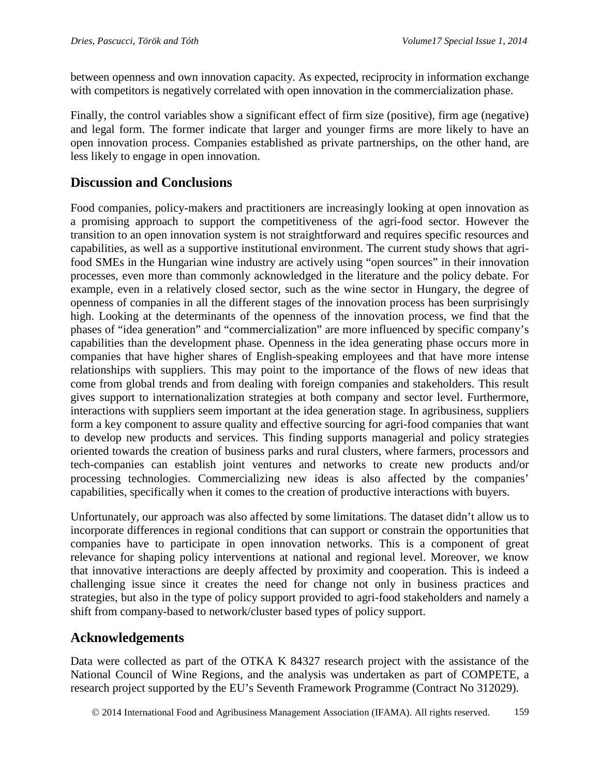between openness and own innovation capacity. As expected, reciprocity in information exchange with competitors is negatively correlated with open innovation in the commercialization phase.

Finally, the control variables show a significant effect of firm size (positive), firm age (negative) and legal form. The former indicate that larger and younger firms are more likely to have an open innovation process. Companies established as private partnerships, on the other hand, are less likely to engage in open innovation.

## **Discussion and Conclusions**

Food companies, policy-makers and practitioners are increasingly looking at open innovation as a promising approach to support the competitiveness of the agri-food sector. However the transition to an open innovation system is not straightforward and requires specific resources and capabilities, as well as a supportive institutional environment. The current study shows that agrifood SMEs in the Hungarian wine industry are actively using "open sources" in their innovation processes, even more than commonly acknowledged in the literature and the policy debate. For example, even in a relatively closed sector, such as the wine sector in Hungary, the degree of openness of companies in all the different stages of the innovation process has been surprisingly high. Looking at the determinants of the openness of the innovation process, we find that the phases of "idea generation" and "commercialization" are more influenced by specific company's capabilities than the development phase. Openness in the idea generating phase occurs more in companies that have higher shares of English-speaking employees and that have more intense relationships with suppliers. This may point to the importance of the flows of new ideas that come from global trends and from dealing with foreign companies and stakeholders. This result gives support to internationalization strategies at both company and sector level. Furthermore, interactions with suppliers seem important at the idea generation stage. In agribusiness, suppliers form a key component to assure quality and effective sourcing for agri-food companies that want to develop new products and services. This finding supports managerial and policy strategies oriented towards the creation of business parks and rural clusters, where farmers, processors and tech-companies can establish joint ventures and networks to create new products and/or processing technologies. Commercializing new ideas is also affected by the companies' capabilities, specifically when it comes to the creation of productive interactions with buyers.

Unfortunately, our approach was also affected by some limitations. The dataset didn't allow us to incorporate differences in regional conditions that can support or constrain the opportunities that companies have to participate in open innovation networks. This is a component of great relevance for shaping policy interventions at national and regional level. Moreover, we know that innovative interactions are deeply affected by proximity and cooperation. This is indeed a challenging issue since it creates the need for change not only in business practices and strategies, but also in the type of policy support provided to agri-food stakeholders and namely a shift from company-based to network/cluster based types of policy support.

# **Acknowledgements**

Data were collected as part of the OTKA K 84327 research project with the assistance of the National Council of Wine Regions, and the analysis was undertaken as part of COMPETE, a research project supported by the EU's Seventh Framework Programme (Contract No 312029).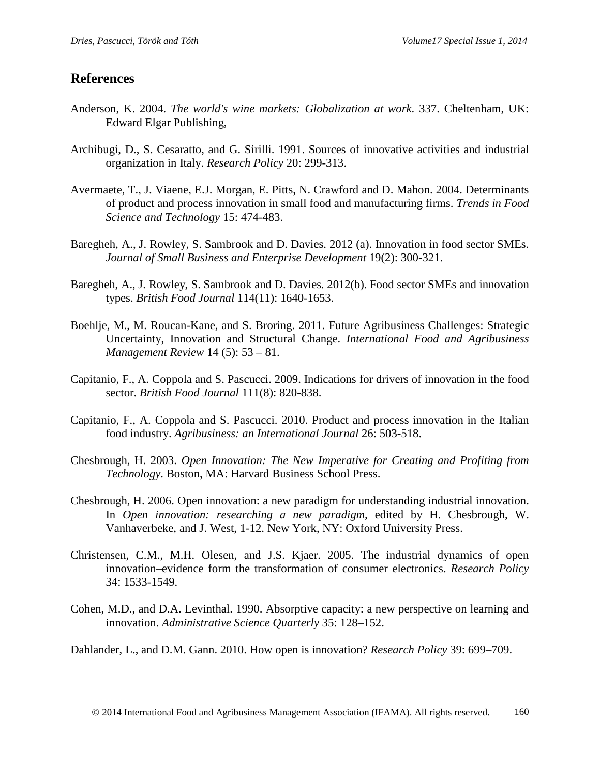## **References**

- Anderson, K. 2004. *The world's wine markets: Globalization at work*. 337. Cheltenham, UK: Edward Elgar Publishing,
- Archibugi, D., S. Cesaratto, and G. Sirilli. 1991. Sources of innovative activities and industrial organization in Italy. *Research Policy* 20: 299-313.
- Avermaete, T., J. Viaene, E.J. Morgan, E. Pitts, N. Crawford and D. Mahon. 2004. Determinants of product and process innovation in small food and manufacturing firms. *Trends in Food Science and Technology* 15: 474-483.
- Baregheh, A., J. Rowley, S. Sambrook and D. Davies. 2012 (a). Innovation in food sector SMEs. *Journal of Small Business and Enterprise Development* 19(2): 300-321.
- Baregheh, A., J. Rowley, S. Sambrook and D. Davies. 2012(b). Food sector SMEs and innovation types. *British Food Journal* 114(11): 1640-1653.
- Boehlje, M., M. Roucan-Kane, and S. Broring. 2011. Future Agribusiness Challenges: Strategic Uncertainty, Innovation and Structural Change. *International Food and Agribusiness Management Review* 14 (5): 53 – 81.
- Capitanio, F., A. Coppola and S. Pascucci. 2009. Indications for drivers of innovation in the food sector. *British Food Journal* 111(8): 820-838.
- Capitanio, F., A. Coppola and S. Pascucci. 2010. Product and process innovation in the Italian food industry. *Agribusiness: an International Journal* 26: 503-518.
- Chesbrough, H. 2003. *Open Innovation: The New Imperative for Creating and Profiting from Technology*. Boston, MA: Harvard Business School Press.
- Chesbrough, H. 2006. Open innovation: a new paradigm for understanding industrial innovation. In *Open innovation: researching a new paradigm,* edited by H. Chesbrough, W. Vanhaverbeke, and J. West, 1-12. New York, NY: Oxford University Press.
- Christensen, C.M., M.H. Olesen, and J.S. Kjaer. 2005. The industrial dynamics of open innovation–evidence form the transformation of consumer electronics. *Research Policy* 34: 1533-1549.
- Cohen, M.D., and D.A. Levinthal. 1990. Absorptive capacity: a new perspective on learning and innovation. *Administrative Science Quarterly* 35: 128–152.

Dahlander, L., and D.M. Gann. 2010. How open is innovation? *Research Policy* 39: 699–709.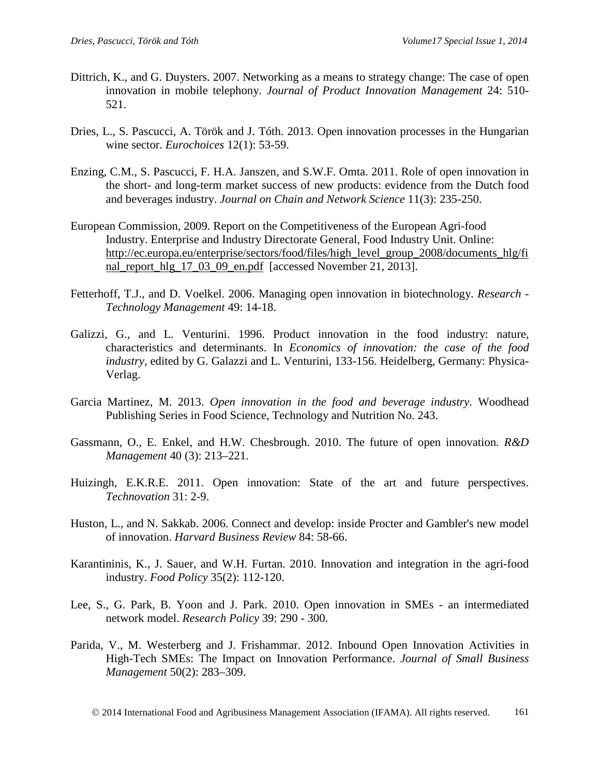- Dittrich, K., and G. Duysters. 2007. Networking as a means to strategy change: The case of open innovation in mobile telephony. *Journal of Product Innovation Management* 24: 510- 521.
- Dries, L., S. Pascucci, A. Török and J. Tóth. 2013. Open innovation processes in the Hungarian wine sector. *Eurochoices* 12(1): 53-59.
- Enzing, C.M., S. Pascucci, F. H.A. Janszen, and S.W.F. Omta. 2011. Role of open innovation in the short- and long-term market success of new products: evidence from the Dutch food and beverages industry. *Journal on Chain and Network Science* 11(3): 235-250.
- European Commission, 2009. Report on the Competitiveness of the European Agri-food Industry. Enterprise and Industry Directorate General, Food Industry Unit. Online: [http://ec.europa.eu/enterprise/sectors/food/files/high\\_level\\_group\\_2008/documents\\_hlg/fi](http://ec.europa.eu/enterprise/sectors/food/files/high_level_group_2008/documents_hlg/final_report_hlg_17_03_09_en.pdf) [nal\\_report\\_hlg\\_17\\_03\\_09\\_en.pdf](http://ec.europa.eu/enterprise/sectors/food/files/high_level_group_2008/documents_hlg/final_report_hlg_17_03_09_en.pdf) [accessed November 21, 2013].
- Fetterhoff, T.J., and D. Voelkel. 2006. Managing open innovation in biotechnology. *Research - Technology Management* 49: 14-18.
- Galizzi, G., and L. Venturini. 1996. Product innovation in the food industry: nature, characteristics and determinants. In *Economics of innovation: the case of the food industry,* edited by G. Galazzi and L. Venturini, 133-156. Heidelberg, Germany: Physica-Verlag.
- Garcia Martinez, M. 2013. *Open innovation in the food and beverage industry*. Woodhead Publishing Series in Food Science, Technology and Nutrition No. 243.
- Gassmann, O., E. Enkel, and H.W. Chesbrough. 2010. The future of open innovation*. R&D Management* 40 (3): 213–221.
- Huizingh, E.K.R.E. 2011. Open innovation: State of the art and future perspectives. *Technovation* 31: 2-9.
- Huston, L., and N. Sakkab. 2006. Connect and develop: inside Procter and Gambler's new model of innovation. *Harvard Business Review* 84: 58-66.
- Karantininis, K., J. Sauer, and W.H. Furtan. 2010. Innovation and integration in the agri-food industry. *Food Policy* 35(2): 112-120.
- Lee, S., G. Park, B. Yoon and J. Park. 2010. Open innovation in SMEs an intermediated network model. *Research Policy* 39: 290 - 300.
- Parida, V., M. Westerberg and J. Frishammar. 2012. Inbound Open Innovation Activities in High-Tech SMEs: The Impact on Innovation Performance. *Journal of Small Business Management* 50(2): 283–309.